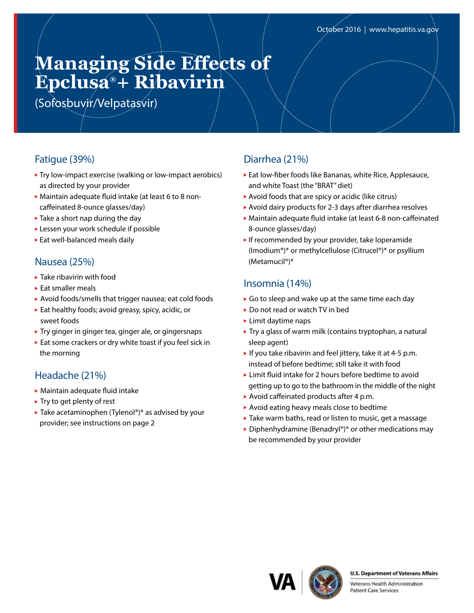# **Managing Side Effects of Epclusa® + Ribavirin**

(Sofosbuvir/Velpatasvir)

# Fatigue (39%)

- ▶ Try low-impact exercise (walking or low-impact aerobics) as directed by your provider
- Maintain adequate fluid intake (at least 6 to 8 noncaffeinated 8-ounce glasses/day)
- $\blacktriangleright$  Take a short nap during the day
- Lessen your work schedule if possible
- Eat well-balanced meals daily

### Nausea (25%)

- ▶ Take ribavirin with food
- ► Eat smaller meals
- Avoid foods/smells that trigger nausea; eat cold foods
- Eat healthy foods; avoid greasy, spicy, acidic, or sweet foods
- ▶ Try ginger in ginger tea, ginger ale, or gingersnaps
- Eat some crackers or dry white toast if you feel sick in the morning

## Headache (21%)

- Maintain adequate fluid intake
- $\blacktriangleright$  Try to get plenty of rest
- ▶ Take acetaminophen (Tylenol®)\* as advised by your provider; see instructions on page 2

### Diarrhea (21%)

- Eat low-fiber foods like Bananas, white Rice, Applesauce, and white Toast (the "BRAT" diet)
- Avoid foods that are spicy or acidic (like citrus)
- Avoid dairy products for 2-3 days after diarrhea resolves
- Maintain adequate fluid intake (at least 6-8 non-caffeinated 8-ounce glasses/day)
- If recommended by your provider, take loperamide (Imodium®)\* or methylcellulose (Citrucel®)\* or psyllium (Metamucil®)\*

## Insomnia (14%)

- Go to sleep and wake up at the same time each day
- ▶ Do not read or watch TV in bed
- $\blacktriangleright$  Limit davtime naps
- ▶ Try a glass of warm milk (contains tryptophan, a natural sleep agent)
- If you take ribavirin and feel jittery, take it at 4-5 p.m. instead of before bedtime; still take it with food
- ► Limit fluid intake for 2 hours before bedtime to avoid getting up to go to the bathroom in the middle of the night
- Avoid caffeinated products after 4 p.m.
- Avoid eating heavy meals close to bedtime
- ▶ Take warm baths, read or listen to music, get a massage
- ▶ Diphenhydramine (Benadryl®)\* or other medications may be recommended by your provider



#### **U.S. Department of Veterans Affairs**